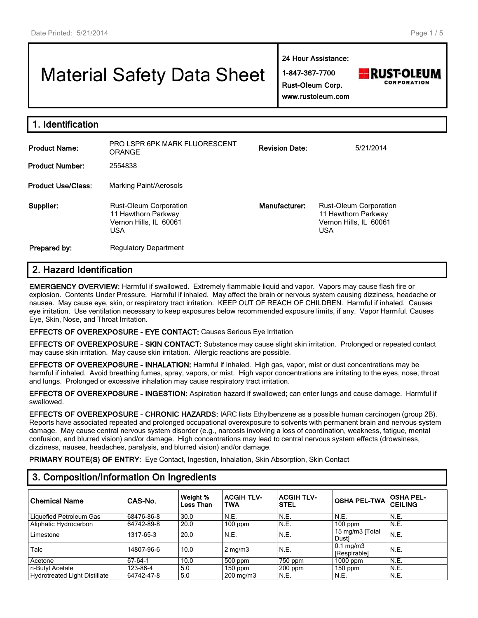# Material Safety Data Sheet

**24 Hour Assistance:**

**1-847-367-7700 Rust-Oleum Corp.**



**www.rustoleum.com**

| <b>Product Name:</b>      | <b>PRO LSPR 6PK MARK FLUORESCENT</b><br><b>ORANGE</b>                                 | <b>Revision Date:</b> | 5/21/2014                                                                                    |
|---------------------------|---------------------------------------------------------------------------------------|-----------------------|----------------------------------------------------------------------------------------------|
| <b>Product Number:</b>    | 2554838                                                                               |                       |                                                                                              |
| <b>Product Use/Class:</b> | Marking Paint/Aerosols                                                                |                       |                                                                                              |
| Supplier:                 | Rust-Oleum Corporation<br>11 Hawthorn Parkway<br>Vernon Hills, IL 60061<br><b>USA</b> | Manufacturer:         | <b>Rust-Oleum Corporation</b><br>11 Hawthorn Parkway<br>Vernon Hills, IL 60061<br><b>USA</b> |
| Prepared by:              | <b>Regulatory Department</b>                                                          |                       |                                                                                              |

# **2. Hazard Identification**

**EMERGENCY OVERVIEW:** Harmful if swallowed. Extremely flammable liquid and vapor. Vapors may cause flash fire or explosion. Contents Under Pressure. Harmful if inhaled. May affect the brain or nervous system causing dizziness, headache or nausea. May cause eye, skin, or respiratory tract irritation. KEEP OUT OF REACH OF CHILDREN. Harmful if inhaled. Causes eye irritation. Use ventilation necessary to keep exposures below recommended exposure limits, if any. Vapor Harmful. Causes Eye, Skin, Nose, and Throat Irritation.

#### **EFFECTS OF OVEREXPOSURE - EYE CONTACT:** Causes Serious Eye Irritation

**EFFECTS OF OVEREXPOSURE - SKIN CONTACT:** Substance may cause slight skin irritation. Prolonged or repeated contact may cause skin irritation. May cause skin irritation. Allergic reactions are possible.

**EFFECTS OF OVEREXPOSURE - INHALATION:** Harmful if inhaled. High gas, vapor, mist or dust concentrations may be harmful if inhaled. Avoid breathing fumes, spray, vapors, or mist. High vapor concentrations are irritating to the eyes, nose, throat and lungs. Prolonged or excessive inhalation may cause respiratory tract irritation.

**EFFECTS OF OVEREXPOSURE - INGESTION:** Aspiration hazard if swallowed; can enter lungs and cause damage. Harmful if swallowed.

**EFFECTS OF OVEREXPOSURE - CHRONIC HAZARDS:** IARC lists Ethylbenzene as a possible human carcinogen (group 2B). Reports have associated repeated and prolonged occupational overexposure to solvents with permanent brain and nervous system damage. May cause central nervous system disorder (e.g., narcosis involving a loss of coordination, weakness, fatigue, mental confusion, and blurred vision) and/or damage. High concentrations may lead to central nervous system effects (drowsiness, dizziness, nausea, headaches, paralysis, and blurred vision) and/or damage.

**PRIMARY ROUTE(S) OF ENTRY:** Eye Contact, Ingestion, Inhalation, Skin Absorption, Skin Contact

# **3. Composition/Information On Ingredients**

| <b>Chemical Name</b>          | CAS-No.    | Weight %<br>Less Than | <b>ACGIH TLV-</b><br><b>TWA</b> | <b>ACGIH TLV-</b><br><b>STEL</b> | <b>OSHA PEL-TWA</b>                  | <b>OSHA PEL-</b><br><b>CEILING</b> |
|-------------------------------|------------|-----------------------|---------------------------------|----------------------------------|--------------------------------------|------------------------------------|
| Liquefied Petroleum Gas       | 68476-86-8 | 30.0                  | N.E.                            | N.E.                             | N.E.                                 | N.E.                               |
| Aliphatic Hydrocarbon         | 64742-89-8 | 20.0                  | $100$ ppm                       | N.E.                             | $100$ ppm                            | N.E.                               |
| Limestone                     | 1317-65-3  | 20.0                  | N.E.                            | N.E.                             | 15 mg/m3 [Total]<br>Dust]            | N.E.                               |
| Talc                          | 14807-96-6 | 10.0                  | $2 \text{ mg/m}$                | N.E.                             | $0.1 \text{ mg/m}$ 3<br>[Respirable] | N.E.                               |
| Acetone                       | 67-64-1    | 10.0                  | 500 ppm                         | 750 ppm                          | $1000$ ppm                           | N.E.                               |
| n-Butyl Acetate               | 123-86-4   | 5.0                   | $150$ ppm                       | $200$ ppm                        | $150$ ppm                            | N.E.                               |
| Hydrotreated Light Distillate | 64742-47-8 | 5.0                   | $200 \text{ mg/m}$              | N.E.                             | N.E.                                 | N.E.                               |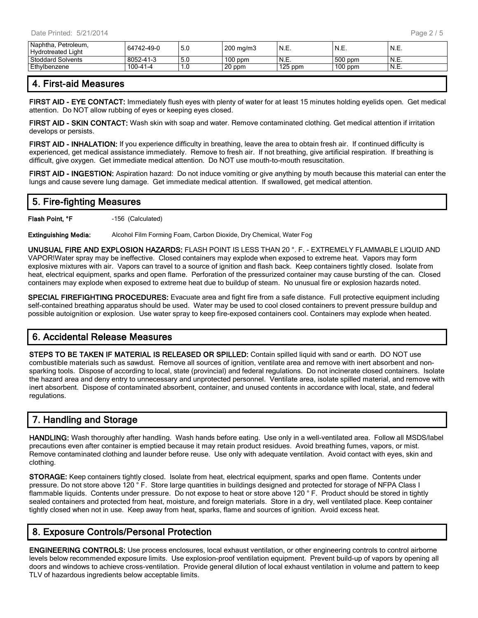| Hvdrotreated Light       | 64742-49-0 | 5.0 | $\frac{1}{200}$ mg/m3 | 'N.E.     | N.E.      | N.E.  |
|--------------------------|------------|-----|-----------------------|-----------|-----------|-------|
| <b>Stoddard Solvents</b> | 8052-41-3  | 5.0 | $100$ ppm             | N.E.      | 500 ppm   | N.E.  |
| Ethylbenzene             | 100-41-4   | 1.0 | 20 ppm                | $125$ ppm | $100$ ppm | 'N.E. |

## **4. First-aid Measures**

**FIRST AID - EYE CONTACT:** Immediately flush eyes with plenty of water for at least 15 minutes holding eyelids open. Get medical attention. Do NOT allow rubbing of eyes or keeping eyes closed.

**FIRST AID - SKIN CONTACT:** Wash skin with soap and water. Remove contaminated clothing. Get medical attention if irritation develops or persists.

**FIRST AID - INHALATION:** If you experience difficulty in breathing, leave the area to obtain fresh air. If continued difficulty is experienced, get medical assistance immediately. Remove to fresh air. If not breathing, give artificial respiration. If breathing is difficult, give oxygen. Get immediate medical attention. Do NOT use mouth-to-mouth resuscitation.

**FIRST AID - INGESTION:** Aspiration hazard: Do not induce vomiting or give anything by mouth because this material can enter the lungs and cause severe lung damage. Get immediate medical attention. If swallowed, get medical attention.

## **5. Fire-fighting Measures**

**Flash Point, °F** -156 (Calculated)

**Extinguishing Media:** Alcohol Film Forming Foam, Carbon Dioxide, Dry Chemical, Water Fog

**UNUSUAL FIRE AND EXPLOSION HAZARDS:** FLASH POINT IS LESS THAN 20 °. F. - EXTREMELY FLAMMABLE LIQUID AND VAPOR!Water spray may be ineffective. Closed containers may explode when exposed to extreme heat. Vapors may form explosive mixtures with air. Vapors can travel to a source of ignition and flash back. Keep containers tightly closed. Isolate from heat, electrical equipment, sparks and open flame. Perforation of the pressurized container may cause bursting of the can. Closed containers may explode when exposed to extreme heat due to buildup of steam. No unusual fire or explosion hazards noted.

**SPECIAL FIREFIGHTING PROCEDURES:** Evacuate area and fight fire from a safe distance. Full protective equipment including self-contained breathing apparatus should be used. Water may be used to cool closed containers to prevent pressure buildup and possible autoignition or explosion. Use water spray to keep fire-exposed containers cool. Containers may explode when heated.

# **6. Accidental Release Measures**

**STEPS TO BE TAKEN IF MATERIAL IS RELEASED OR SPILLED:** Contain spilled liquid with sand or earth. DO NOT use combustible materials such as sawdust. Remove all sources of ignition, ventilate area and remove with inert absorbent and nonsparking tools. Dispose of according to local, state (provincial) and federal regulations. Do not incinerate closed containers. Isolate the hazard area and deny entry to unnecessary and unprotected personnel. Ventilate area, isolate spilled material, and remove with inert absorbent. Dispose of contaminated absorbent, container, and unused contents in accordance with local, state, and federal regulations.

# **7. Handling and Storage**

**HANDLING:** Wash thoroughly after handling. Wash hands before eating. Use only in a well-ventilated area. Follow all MSDS/label precautions even after container is emptied because it may retain product residues. Avoid breathing fumes, vapors, or mist. Remove contaminated clothing and launder before reuse. Use only with adequate ventilation. Avoid contact with eyes, skin and clothing.

**STORAGE:** Keep containers tightly closed. Isolate from heat, electrical equipment, sparks and open flame. Contents under pressure. Do not store above 120 °F. Store large quantities in buildings designed and protected for storage of NFPA Class I flammable liquids. Contents under pressure. Do not expose to heat or store above 120 ° F. Product should be stored in tightly sealed containers and protected from heat, moisture, and foreign materials. Store in a dry, well ventilated place. Keep container tightly closed when not in use. Keep away from heat, sparks, flame and sources of ignition. Avoid excess heat.

## **8. Exposure Controls/Personal Protection**

**ENGINEERING CONTROLS:** Use process enclosures, local exhaust ventilation, or other engineering controls to control airborne levels below recommended exposure limits. Use explosion-proof ventilation equipment. Prevent build-up of vapors by opening all doors and windows to achieve cross-ventilation. Provide general dilution of local exhaust ventilation in volume and pattern to keep TLV of hazardous ingredients below acceptable limits.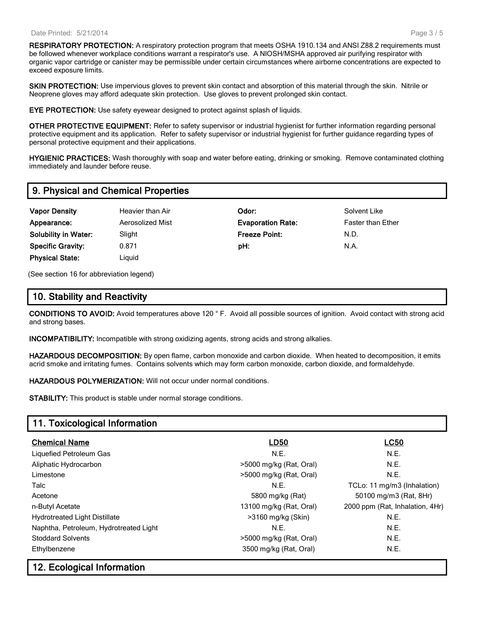#### Date Printed: 5/21/2014

**RESPIRATORY PROTECTION:** A respiratory protection program that meets OSHA 1910.134 and ANSI Z88.2 requirements must be followed whenever workplace conditions warrant a respirator's use. A NIOSH/MSHA approved air purifying respirator with organic vapor cartridge or canister may be permissible under certain circumstances where airborne concentrations are expected to exceed exposure limits.

**SKIN PROTECTION:** Use impervious gloves to prevent skin contact and absorption of this material through the skin. Nitrile or Neoprene gloves may afford adequate skin protection. Use gloves to prevent prolonged skin contact.

**EYE PROTECTION:** Use safety eyewear designed to protect against splash of liquids.

**OTHER PROTECTIVE EQUIPMENT:** Refer to safety supervisor or industrial hygienist for further information regarding personal protective equipment and its application. Refer to safety supervisor or industrial hygienist for further guidance regarding types of personal protective equipment and their applications.

**HYGIENIC PRACTICES:** Wash thoroughly with soap and water before eating, drinking or smoking. Remove contaminated clothing immediately and launder before reuse.

## **9. Physical and Chemical Properties**

- **Vapor Density Heavier than Air Consumer Consumer Consumer Consumer Consumer Consumer Consumer Consumer Consumer Consumer Consumer Consumer Consumer Consumer Consumer Consumer Consumer Consumer Consumer Consumer Consum Appearance:** Aerosolized Mist **Evaporation Rate:** Faster than Ether **Solubility in Water:** Slight **Freeze Point:** N.D. **Specific Gravity:** 0.871 **pH:** N.A. **Physical State:** Liquid
	-

(See section 16 for abbreviation legend)

## **10. Stability and Reactivity**

**CONDITIONS TO AVOID:** Avoid temperatures above 120 ° F. Avoid all possible sources of ignition. Avoid contact with strong acid and strong bases.

**INCOMPATIBILITY:** Incompatible with strong oxidizing agents, strong acids and strong alkalies.

**HAZARDOUS DECOMPOSITION:** By open flame, carbon monoxide and carbon dioxide. When heated to decomposition, it emits acrid smoke and irritating fumes. Contains solvents which may form carbon monoxide, carbon dioxide, and formaldehyde.

**HAZARDOUS POLYMERIZATION:** Will not occur under normal conditions.

**STABILITY:** This product is stable under normal storage conditions.

## **11. Toxicological Information**

| <b>Chemical Name</b>                   | <b>LD50</b>             | <b>LC50</b>                     |  |
|----------------------------------------|-------------------------|---------------------------------|--|
| Liquefied Petroleum Gas                | N.E.                    | N.E.                            |  |
| Aliphatic Hydrocarbon                  | >5000 mg/kg (Rat, Oral) | N.E.                            |  |
| Limestone                              | >5000 mg/kg (Rat, Oral) | N.E.                            |  |
| Talc                                   | N.E.                    | TCLo: 11 mg/m3 (Inhalation)     |  |
| Acetone                                | 5800 mg/kg (Rat)        | 50100 mg/m3 (Rat, 8Hr)          |  |
| n-Butyl Acetate                        | 13100 mg/kg (Rat, Oral) | 2000 ppm (Rat, Inhalation, 4Hr) |  |
| <b>Hydrotreated Light Distillate</b>   | >3160 mg/kg (Skin)      | N.E.                            |  |
| Naphtha, Petroleum, Hydrotreated Light | N.E.                    | N.E.                            |  |
| <b>Stoddard Solvents</b>               | >5000 mg/kg (Rat, Oral) | N.E.                            |  |
| Ethylbenzene                           | 3500 mg/kg (Rat, Oral)  | N.E.                            |  |

## **12. Ecological Information**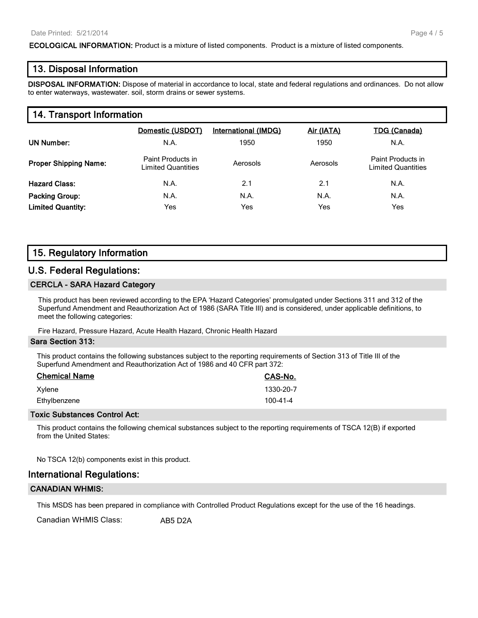**ECOLOGICAL INFORMATION:** Product is a mixture of listed components. Product is a mixture of listed components.

### **13. Disposal Information**

**DISPOSAL INFORMATION:** Dispose of material in accordance to local, state and federal regulations and ordinances. Do not allow to enter waterways, wastewater. soil, storm drains or sewer systems.

## **14. Transport Information**

|                              | Domestic (USDOT)                        | <b>International (IMDG)</b> | <u>Air (IATA)</u> | <b>TDG (Canada)</b>                            |
|------------------------------|-----------------------------------------|-----------------------------|-------------------|------------------------------------------------|
| UN Number:                   | N.A.                                    | 1950                        | 1950              | N.A.                                           |
| <b>Proper Shipping Name:</b> | Paint Products in<br>Limited Quantities | Aerosols                    | Aerosols          | Paint Products in<br><b>Limited Quantities</b> |
| <b>Hazard Class:</b>         | N.A.                                    | 2.1                         | 2.1               | N.A.                                           |
| <b>Packing Group:</b>        | N.A.                                    | N.A.                        | N.A.              | N.A.                                           |
| <b>Limited Quantity:</b>     | Yes                                     | Yes                         | Yes               | Yes                                            |

## **15. Regulatory Information**

#### **U.S. Federal Regulations:**

#### **CERCLA - SARA Hazard Category**

This product has been reviewed according to the EPA 'Hazard Categories' promulgated under Sections 311 and 312 of the Superfund Amendment and Reauthorization Act of 1986 (SARA Title III) and is considered, under applicable definitions, to meet the following categories:

Fire Hazard, Pressure Hazard, Acute Health Hazard, Chronic Health Hazard

#### **Sara Section 313:**

This product contains the following substances subject to the reporting requirements of Section 313 of Title III of the Superfund Amendment and Reauthorization Act of 1986 and 40 CFR part 372:

| <b>Chemical Name</b> | CAS-No.        |
|----------------------|----------------|
| Xylene               | 1330-20-7      |
| Ethylbenzene         | $100 - 41 - 4$ |

#### **Toxic Substances Control Act:**

This product contains the following chemical substances subject to the reporting requirements of TSCA 12(B) if exported from the United States:

No TSCA 12(b) components exist in this product.

#### **International Regulations:**

#### **CANADIAN WHMIS:**

This MSDS has been prepared in compliance with Controlled Product Regulations except for the use of the 16 headings.

Canadian WHMIS Class: AB5 D2A